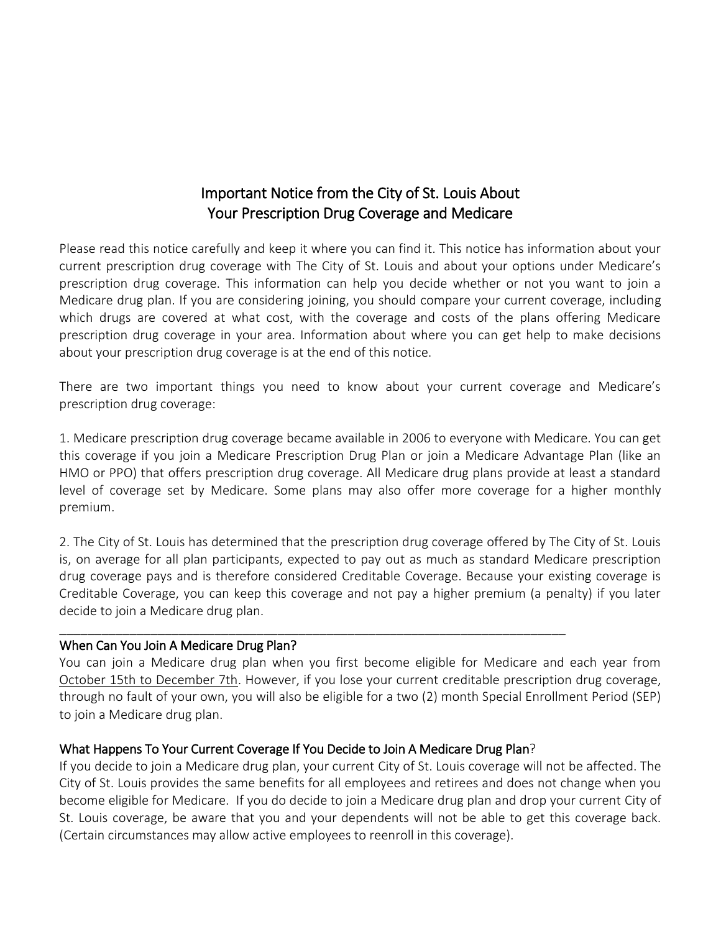# Important Notice from the City of St. Louis About Your Prescription Drug Coverage and Medicare

Please read this notice carefully and keep it where you can find it. This notice has information about your current prescription drug coverage with The City of St. Louis and about your options under Medicare's prescription drug coverage. This information can help you decide whether or not you want to join a Medicare drug plan. If you are considering joining, you should compare your current coverage, including which drugs are covered at what cost, with the coverage and costs of the plans offering Medicare prescription drug coverage in your area. Information about where you can get help to make decisions about your prescription drug coverage is at the end of this notice.

There are two important things you need to know about your current coverage and Medicare's prescription drug coverage:

1. Medicare prescription drug coverage became available in 2006 to everyone with Medicare. You can get this coverage if you join a Medicare Prescription Drug Plan or join a Medicare Advantage Plan (like an HMO or PPO) that offers prescription drug coverage. All Medicare drug plans provide at least a standard level of coverage set by Medicare. Some plans may also offer more coverage for a higher monthly premium.

2. The City of St. Louis has determined that the prescription drug coverage offered by The City of St. Louis is, on average for all plan participants, expected to pay out as much as standard Medicare prescription drug coverage pays and is therefore considered Creditable Coverage. Because your existing coverage is Creditable Coverage, you can keep this coverage and not pay a higher premium (a penalty) if you later decide to join a Medicare drug plan.

### When Can You Join A Medicare Drug Plan?

You can join a Medicare drug plan when you first become eligible for Medicare and each year from October 15th to December 7th. However, if you lose your current creditable prescription drug coverage, through no fault of your own, you will also be eligible for a two (2) month Special Enrollment Period (SEP) to join a Medicare drug plan.

### What Happens To Your Current Coverage If You Decide to Join A Medicare Drug Plan?

\_\_\_\_\_\_\_\_\_\_\_\_\_\_\_\_\_\_\_\_\_\_\_\_\_\_\_\_\_\_\_\_\_\_\_\_\_\_\_\_\_\_\_\_\_\_\_\_\_\_\_\_\_\_\_\_\_\_\_\_\_\_\_\_\_\_\_\_\_\_\_\_

If you decide to join a Medicare drug plan, your current City of St. Louis coverage will not be affected. The City of St. Louis provides the same benefits for all employees and retirees and does not change when you become eligible for Medicare. If you do decide to join a Medicare drug plan and drop your current City of St. Louis coverage, be aware that you and your dependents will not be able to get this coverage back. (Certain circumstances may allow active employees to reenroll in this coverage).